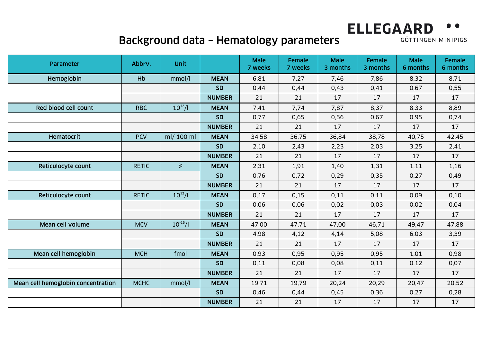## **ELLEGAARD**

## Background data – Hematology parameters

GÖTTINGEN MINIPIGS

| Parameter                          | Abbrv.       | <b>Unit</b>  |               | <b>Male</b><br>7 weeks | <b>Female</b><br>7 weeks | <b>Male</b><br>3 months | Female<br>3 months | <b>Male</b><br>6 months | Female<br>6 months |
|------------------------------------|--------------|--------------|---------------|------------------------|--------------------------|-------------------------|--------------------|-------------------------|--------------------|
| Hemoglobin                         | Hb           | mmol/l       | <b>MEAN</b>   | 6,81                   | 7,27                     | 7,46                    | 7,86               | 8,32                    | 8,71               |
|                                    |              |              | <b>SD</b>     | 0,44                   | 0,44                     | 0,43                    | 0,41               | 0,67                    | 0,55               |
|                                    |              |              | <b>NUMBER</b> | 21                     | 21                       | 17                      | 17                 | 17                      | 17                 |
| Red blood cell count               | <b>RBC</b>   | $10^{12}/I$  | <b>MEAN</b>   | 7,41                   | 7,74                     | 7,87                    | 8,37               | 8,33                    | 8,89               |
|                                    |              |              | <b>SD</b>     | 0,77                   | 0,65                     | 0,56                    | 0,67               | 0,95                    | 0,74               |
|                                    |              |              | <b>NUMBER</b> | 21                     | 21                       | 17                      | 17                 | 17                      | 17                 |
| <b>Hematocrit</b>                  | <b>PCV</b>   | ml/ 100 ml   | <b>MEAN</b>   | 34,58                  | 36,75                    | 36,84                   | 38,78              | 40,75                   | 42,45              |
|                                    |              |              | <b>SD</b>     | 2,10                   | 2,43                     | 2,23                    | 2,03               | 3,25                    | 2,41               |
|                                    |              |              | <b>NUMBER</b> | 21                     | 21                       | 17                      | 17                 | 17                      | 17                 |
| Reticulocyte count                 | <b>RETIC</b> | %            | <b>MEAN</b>   | 2,31                   | 1,91                     | 1,40                    | 1,31               | 1,11                    | 1,16               |
|                                    |              |              | <b>SD</b>     | 0,76                   | 0,72                     | 0,29                    | 0,35               | 0,27                    | 0,49               |
|                                    |              |              | <b>NUMBER</b> | 21                     | 21                       | 17                      | 17                 | 17                      | 17                 |
| Reticulocyte count                 | <b>RETIC</b> | $10^{12}/I$  | <b>MEAN</b>   | 0,17                   | 0,15                     | 0,11                    | 0,11               | 0,09                    | 0,10               |
|                                    |              |              | <b>SD</b>     | 0,06                   | 0,06                     | 0,02                    | 0,03               | 0,02                    | 0,04               |
|                                    |              |              | <b>NUMBER</b> | 21                     | 21                       | 17                      | 17                 | 17                      | 17                 |
| Mean cell volume                   | <b>MCV</b>   | $10^{-15}/l$ | <b>MEAN</b>   | 47,00                  | 47,71                    | 47,00                   | 46,71              | 49,47                   | 47,88              |
|                                    |              |              | <b>SD</b>     | 4,98                   | 4,12                     | 4,14                    | 5,08               | 6,03                    | 3,39               |
|                                    |              |              | <b>NUMBER</b> | 21                     | 21                       | 17                      | 17                 | 17                      | 17                 |
| Mean cell hemoglobin               | <b>MCH</b>   | fmol         | <b>MEAN</b>   | 0,93                   | 0,95                     | 0,95                    | 0,95               | 1,01                    | 0,98               |
|                                    |              |              | <b>SD</b>     | 0,11                   | 0,08                     | 0,08                    | 0,11               | 0,12                    | 0,07               |
|                                    |              |              | <b>NUMBER</b> | 21                     | 21                       | 17                      | 17                 | 17                      | 17                 |
| Mean cell hemoglobin concentration | <b>MCHC</b>  | mmol/l       | <b>MEAN</b>   | 19,71                  | 19,79                    | 20,24                   | 20,29              | 20,47                   | 20,52              |
|                                    |              |              | <b>SD</b>     | 0,46                   | 0,44                     | 0,45                    | 0,36               | 0,27                    | 0,28               |
|                                    |              |              | <b>NUMBER</b> | 21                     | 21                       | 17                      | 17                 | 17                      | 17                 |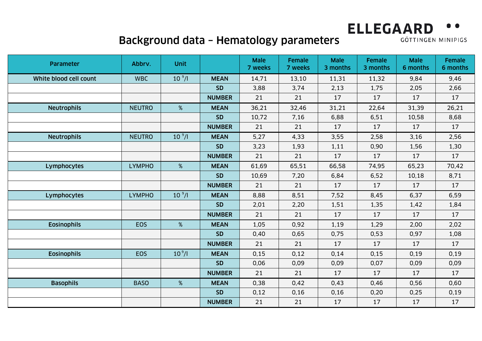## **ELLEGAARD**

## Background data – Hematology parameters

GÖTTINGEN MINIPIGS

| Parameter              | Abbrv.        | <b>Unit</b>        |               | <b>Male</b><br>7 weeks | <b>Female</b><br>7 weeks | <b>Male</b><br>3 months | <b>Female</b><br>3 months | <b>Male</b><br>6 months | Female<br>6 months |
|------------------------|---------------|--------------------|---------------|------------------------|--------------------------|-------------------------|---------------------------|-------------------------|--------------------|
| White blood cell count | <b>WBC</b>    | 10 <sup>9</sup> /I | <b>MEAN</b>   | 14,71                  | 13,10                    | 11,31                   | 11,32                     | 9,84                    | 9,46               |
|                        |               |                    | <b>SD</b>     | 3,88                   | 3,74                     | 2,13                    | 1,75                      | 2,05                    | 2,66               |
|                        |               |                    | <b>NUMBER</b> | 21                     | 21                       | 17                      | 17                        | 17                      | 17                 |
| <b>Neutrophils</b>     | <b>NEUTRO</b> | %                  | <b>MEAN</b>   | 36,21                  | 32,46                    | 31,21                   | 22,64                     | 31,39                   | 26,21              |
|                        |               |                    | <b>SD</b>     | 10,72                  | 7,16                     | 6,88                    | 6,51                      | 10,58                   | 8,68               |
|                        |               |                    | <b>NUMBER</b> | 21                     | 21                       | 17                      | 17                        | 17                      | 17                 |
| <b>Neutrophils</b>     | <b>NEUTRO</b> | 10 <sup>9</sup> /I | <b>MEAN</b>   | 5,27                   | 4,33                     | 3,55                    | 2,58                      | 3,16                    | 2,56               |
|                        |               |                    | <b>SD</b>     | 3,23                   | 1,93                     | 1,11                    | 0,90                      | 1,56                    | 1,30               |
|                        |               |                    | <b>NUMBER</b> | 21                     | 21                       | 17                      | 17                        | 17                      | 17                 |
| Lymphocytes            | <b>LYMPHO</b> | %                  | <b>MEAN</b>   | 61,69                  | 65,51                    | 66,58                   | 74,95                     | 65,23                   | 70,42              |
|                        |               |                    | <b>SD</b>     | 10,69                  | 7,20                     | 6,84                    | 6,52                      | 10,18                   | 8,71               |
|                        |               |                    | <b>NUMBER</b> | 21                     | 21                       | 17                      | 17                        | 17                      | 17                 |
| Lymphocytes            | <b>LYMPHO</b> | 10 <sup>9</sup> /I | <b>MEAN</b>   | 8,88                   | 8,51                     | 7,52                    | 8,45                      | 6,37                    | 6,59               |
|                        |               |                    | <b>SD</b>     | 2,01                   | 2,20                     | 1,51                    | 1,35                      | 1,42                    | 1,84               |
|                        |               |                    | <b>NUMBER</b> | 21                     | 21                       | 17                      | 17                        | 17                      | 17                 |
| <b>Eosinophils</b>     | <b>EOS</b>    | %                  | <b>MEAN</b>   | 1,05                   | 0,92                     | 1,19                    | 1,29                      | 2,00                    | 2,02               |
|                        |               |                    | <b>SD</b>     | 0,40                   | 0,65                     | 0,75                    | 0,53                      | 0,97                    | 1,08               |
|                        |               |                    | <b>NUMBER</b> | 21                     | 21                       | 17                      | 17                        | 17                      | 17                 |
| <b>Eosinophils</b>     | EOS           | 10 <sup>9</sup> /I | <b>MEAN</b>   | 0,15                   | 0,12                     | 0,14                    | 0, 15                     | 0,19                    | 0, 19              |
|                        |               |                    | <b>SD</b>     | 0,06                   | 0,09                     | 0,09                    | 0,07                      | 0,09                    | 0,09               |
|                        |               |                    | <b>NUMBER</b> | 21                     | 21                       | 17                      | 17                        | 17                      | 17                 |
| <b>Basophils</b>       | <b>BASO</b>   | %                  | <b>MEAN</b>   | 0,38                   | 0,42                     | 0,43                    | 0,46                      | 0,56                    | 0,60               |
|                        |               |                    | <b>SD</b>     | 0,12                   | 0,16                     | 0, 16                   | 0,20                      | 0,25                    | 0, 19              |
|                        |               |                    | <b>NUMBER</b> | 21                     | 21                       | 17                      | 17                        | 17                      | 17                 |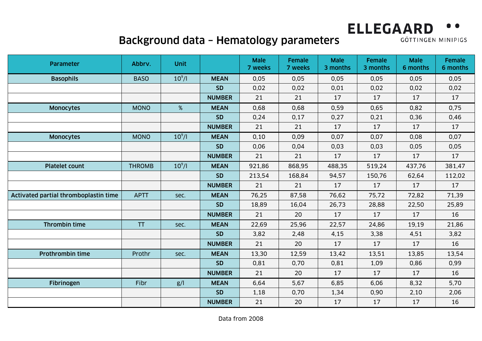# **ELLEGAARD**

#### Background data – Hematology parameters

GÖTTINGEN MINIPIGS

| Parameter                             | Abbrv.        | <b>Unit</b> |               | <b>Male</b><br>7 weeks | <b>Female</b><br>7 weeks | <b>Male</b><br>3 months | <b>Female</b><br>3 months | <b>Male</b><br>6 months | <b>Female</b><br>6 months |
|---------------------------------------|---------------|-------------|---------------|------------------------|--------------------------|-------------------------|---------------------------|-------------------------|---------------------------|
| <b>Basophils</b>                      | <b>BASO</b>   | $10^9$ /l   | <b>MEAN</b>   | 0,05                   | 0,05                     | 0,05                    | 0,05                      | 0,05                    | 0,05                      |
|                                       |               |             | <b>SD</b>     | 0,02                   | 0,02                     | 0,01                    | 0,02                      | 0,02                    | 0,02                      |
|                                       |               |             | <b>NUMBER</b> | 21                     | 21                       | 17                      | 17                        | 17                      | 17                        |
| <b>Monocytes</b>                      | <b>MONO</b>   | %           | <b>MEAN</b>   | 0,68                   | 0,68                     | 0,59                    | 0,65                      | 0,82                    | 0,75                      |
|                                       |               |             | <b>SD</b>     | 0,24                   | 0,17                     | 0,27                    | 0,21                      | 0,36                    | 0,46                      |
|                                       |               |             | <b>NUMBER</b> | 21                     | 21                       | 17                      | 17                        | 17                      | 17                        |
| <b>Monocytes</b>                      | <b>MONO</b>   | $10^9$ /l   | <b>MEAN</b>   | 0,10                   | 0,09                     | 0,07                    | 0,07                      | 0,08                    | 0,07                      |
|                                       |               |             | <b>SD</b>     | 0,06                   | 0,04                     | 0,03                    | 0,03                      | 0,05                    | 0,05                      |
|                                       |               |             | <b>NUMBER</b> | 21                     | 21                       | 17                      | 17                        | 17                      | 17                        |
| <b>Platelet count</b>                 | <b>THROMB</b> | $10^9$ /l   | <b>MEAN</b>   | 921,86                 | 868,95                   | 488,35                  | 519,24                    | 437,76                  | 381,47                    |
|                                       |               |             | <b>SD</b>     | 213,54                 | 168,84                   | 94,57                   | 150,76                    | 62,64                   | 112,02                    |
|                                       |               |             | <b>NUMBER</b> | 21                     | 21                       | 17                      | 17                        | 17                      | 17                        |
| Activated partial thromboplastin time | <b>APTT</b>   | sec.        | <b>MEAN</b>   | 76,25                  | 87,58                    | 76,62                   | 75,72                     | 72,82                   | 71,39                     |
|                                       |               |             | <b>SD</b>     | 18,89                  | 16,04                    | 26,73                   | 28,88                     | 22,50                   | 25,89                     |
|                                       |               |             | <b>NUMBER</b> | 21                     | 20                       | 17                      | 17                        | 17                      | 16                        |
| Thrombin time                         | <b>TT</b>     | sec.        | <b>MEAN</b>   | 22,69                  | 25,96                    | 22,57                   | 24,86                     | 19,19                   | 21,86                     |
|                                       |               |             | <b>SD</b>     | 3,82                   | 2,48                     | 4,15                    | 3,38                      | 4,51                    | 3,82                      |
|                                       |               |             | <b>NUMBER</b> | 21                     | 20                       | 17                      | 17                        | 17                      | 16                        |
| <b>Prothrombin time</b>               | Prothr        | sec.        | <b>MEAN</b>   | 13,30                  | 12,59                    | 13,42                   | 13,51                     | 13,85                   | 13,54                     |
|                                       |               |             | <b>SD</b>     | 0,81                   | 0,70                     | 0,81                    | 1,09                      | 0,86                    | 0,99                      |
|                                       |               |             | <b>NUMBER</b> | 21                     | 20                       | 17                      | 17                        | 17                      | 16                        |
| Fibrinogen                            | Fibr          | g/          | <b>MEAN</b>   | 6,64                   | 5,67                     | 6,85                    | 6,06                      | 8,32                    | 5,70                      |
|                                       |               |             | <b>SD</b>     | 1,18                   | 0,70                     | 1,34                    | 0,90                      | 2,10                    | 2,06                      |
|                                       |               |             | <b>NUMBER</b> | 21                     | 20                       | 17                      | 17                        | 17                      | 16                        |